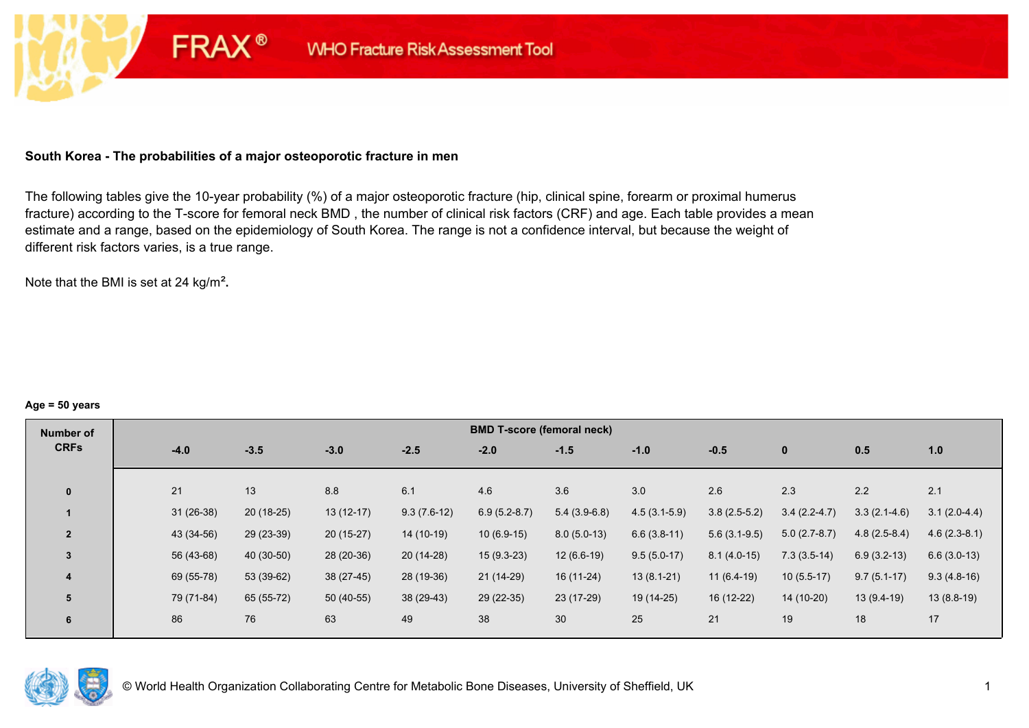### **South Korea - The probabilities of a major osteoporotic fracture in men**

**FRAX®** 

The following tables give the 10-year probability (%) of a major osteoporotic fracture (hip, clinical spine, forearm or proximal humerus fracture) according to the T-score for femoral neck BMD , the number of clinical risk factors (CRF) and age. Each table provides a mean estimate and a range, based on the epidemiology of South Korea. The range is not a confidence interval, but because the weight of different risk factors varies, is a true range.

Note that the BMI is set at 24 kg/m²**.** 

#### **Age = 50 years**

| Number of      |             |             |             |               | <b>BMD T-score (femoral neck)</b> |                |                |                |                |                |                |
|----------------|-------------|-------------|-------------|---------------|-----------------------------------|----------------|----------------|----------------|----------------|----------------|----------------|
| <b>CRFs</b>    | $-4.0$      | $-3.5$      | $-3.0$      | $-2.5$        | $-2.0$                            | $-1.5$         | $-1.0$         | $-0.5$         | $\mathbf 0$    | 0.5            | 1.0            |
|                |             |             |             |               |                                   |                |                |                |                |                |                |
| $\mathbf{0}$   | 21          | 13          | 8.8         | 6.1           | 4.6                               | 3.6            | 3.0            | 2.6            | 2.3            | 2.2            | 2.1            |
|                | $31(26-38)$ | $20(18-25)$ | $13(12-17)$ | $9.3(7.6-12)$ | $6.9(5.2-8.7)$                    | $5.4(3.9-6.8)$ | $4.5(3.1-5.9)$ | $3.8(2.5-5.2)$ | $3.4(2.2-4.7)$ | $3.3(2.1-4.6)$ | $3.1(2.0-4.4)$ |
| $\overline{2}$ | 43 (34-56)  | 29 (23-39)  | $20(15-27)$ | 14 (10-19)    | $10(6.9-15)$                      | $8.0(5.0-13)$  | $6.6(3.8-11)$  | $5.6(3.1-9.5)$ | $5.0(2.7-8.7)$ | $4.8(2.5-8.4)$ | $4.6(2.3-8.1)$ |
| $\overline{3}$ | 56 (43-68)  | 40 (30-50)  | 28 (20-36)  | $20(14-28)$   | $15(9.3-23)$                      | $12(6.6-19)$   | $9.5(5.0-17)$  | $8.1(4.0-15)$  | $7.3(3.5-14)$  | $6.9(3.2-13)$  | $6.6(3.0-13)$  |
| 4              | 69 (55-78)  | 53 (39-62)  | 38 (27-45)  | 28 (19-36)    | $21(14-29)$                       | $16(11-24)$    | $13(8.1-21)$   | $11(6.4-19)$   | $10(5.5-17)$   | $9.7(5.1-17)$  | $9.3(4.8-16)$  |
| 5              | 79 (71-84)  | 65 (55-72)  | $50(40-55)$ | 38 (29-43)    | 29 (22-35)                        | 23 (17-29)     | 19 (14-25)     | 16 (12-22)     | 14 (10-20)     | $13(9.4-19)$   | $13(8.8-19)$   |
| 6              | 86          | 76          | 63          | 49            | 38                                | 30             | 25             | 21             | 19             | 18             | 17             |

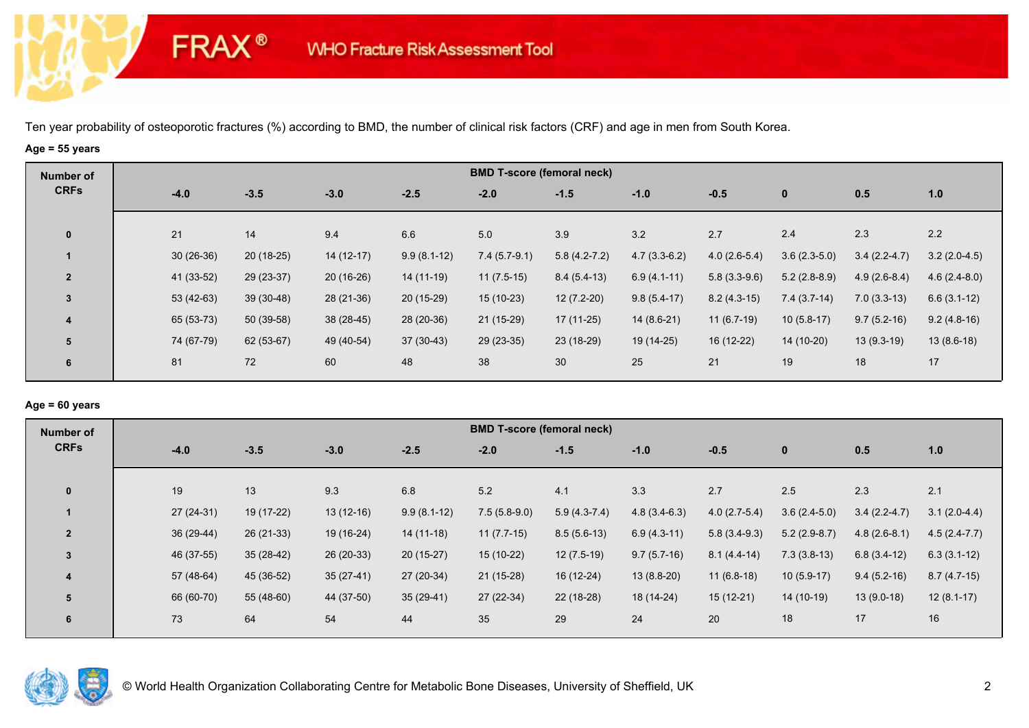# **Age = 55 years**

**FRAX®** 

| Number of      |             |             |             |               | <b>BMD T-score (femoral neck)</b> |                  |                |                |                |                |                |
|----------------|-------------|-------------|-------------|---------------|-----------------------------------|------------------|----------------|----------------|----------------|----------------|----------------|
| <b>CRFs</b>    | $-4.0$      | $-3.5$      | $-3.0$      | $-2.5$        | $-2.0$                            | $-1.5$           | $-1.0$         | $-0.5$         | $\mathbf 0$    | 0.5            | 1.0            |
| $\mathbf 0$    | 21          | 14          | 9.4         | 6.6           | 5.0                               | 3.9              | 3.2            | 2.7            | 2.4            | 2.3            | 2.2            |
|                | $30(26-36)$ | $20(18-25)$ | $14(12-17)$ | $9.9(8.1-12)$ | $7.4(5.7-9.1)$                    | $5.8(4.2 - 7.2)$ | $4.7(3.3-6.2)$ | $4.0(2.6-5.4)$ | $3.6(2.3-5.0)$ | $3.4(2.2-4.7)$ | $3.2(2.0-4.5)$ |
| $\overline{2}$ | 41 (33-52)  | $29(23-37)$ | $20(16-26)$ | 14 (11-19)    | $11(7.5-15)$                      | $8.4(5.4-13)$    | $6.9(4.1-11)$  | $5.8(3.3-9.6)$ | $5.2(2.8-8.9)$ | $4.9(2.6-8.4)$ | $4.6(2.4-8.0)$ |
| $\overline{3}$ | $53(42-63)$ | $39(30-48)$ | 28 (21-36)  | $20(15-29)$   | $15(10-23)$                       | $12(7.2-20)$     | $9.8(5.4-17)$  | $8.2(4.3-15)$  | $7.4(3.7-14)$  | $7.0(3.3-13)$  | $6.6(3.1-12)$  |
| 4              | 65 (53-73)  | $50(39-58)$ | $38(28-45)$ | 28 (20-36)    | $21(15-29)$                       | $17(11-25)$      | $14(8.6-21)$   | $11(6.7-19)$   | $10(5.8-17)$   | $9.7(5.2-16)$  | $9.2(4.8-16)$  |
| 5              | 74 (67-79)  | 62 (53-67)  | 49 (40-54)  | $37(30-43)$   | $29(23-35)$                       | 23 (18-29)       | 19 (14-25)     | 16 (12-22)     | 14 (10-20)     | $13(9.3-19)$   | $13(8.6-18)$   |
| 6              | 81          | 72          | 60          | 48            | 38                                | 30               | 25             | 21             | 19             | 18             | 17             |

### **Age = 60 years**

| Number of      |             |             |             |               | <b>BMD T-score (femoral neck)</b> |                |                |                |                |                |                |
|----------------|-------------|-------------|-------------|---------------|-----------------------------------|----------------|----------------|----------------|----------------|----------------|----------------|
| <b>CRFs</b>    | $-4.0$      | $-3.5$      | $-3.0$      | $-2.5$        | $-2.0$                            | $-1.5$         | $-1.0$         | $-0.5$         | $\mathbf 0$    | 0.5            | 1.0            |
|                |             |             |             |               |                                   |                |                |                |                |                |                |
| $\mathbf{0}$   | 19          | 13          | 9.3         | 6.8           | 5.2                               | 4.1            | 3.3            | 2.7            | 2.5            | 2.3            | 2.1            |
|                | $27(24-31)$ | 19 (17-22)  | $13(12-16)$ | $9.9(8.1-12)$ | $7.5(5.8-9.0)$                    | $5.9(4.3-7.4)$ | $4.8(3.4-6.3)$ | $4.0(2.7-5.4)$ | $3.6(2.4-5.0)$ | $3.4(2.2-4.7)$ | $3.1(2.0-4.4)$ |
| $\overline{2}$ | 36 (29-44)  | $26(21-33)$ | 19 (16-24)  | $14(11-18)$   | $11(7.7-15)$                      | $8.5(5.6-13)$  | $6.9(4.3-11)$  | $5.8(3.4-9.3)$ | $5.2(2.9-8.7)$ | $4.8(2.6-8.1)$ | $4.5(2.4-7.7)$ |
| $\overline{3}$ | 46 (37-55)  | $35(28-42)$ | 26 (20-33)  | $20(15-27)$   | $15(10-22)$                       | $12(7.5-19)$   | $9.7(5.7-16)$  | $8.1(4.4-14)$  | $7.3(3.8-13)$  | $6.8(3.4-12)$  | $6.3(3.1-12)$  |
| 4              | 57 (48-64)  | 45 (36-52)  | $35(27-41)$ | 27 (20-34)    | $21(15-28)$                       | $16(12-24)$    | $13(8.8-20)$   | $11(6.8-18)$   | $10(5.9-17)$   | $9.4(5.2-16)$  | $8.7(4.7-15)$  |
| 5              | 66 (60-70)  | 55 (48-60)  | 44 (37-50)  | $35(29-41)$   | 27 (22-34)                        | 22 (18-28)     | 18 (14-24)     | $15(12-21)$    | 14 (10-19)     | $13(9.0-18)$   | $12(8.1-17)$   |
| 6              | 73          | 64          | 54          | 44            | 35                                | 29             | 24             | 20             | 18             | 17             | 16             |
|                |             |             |             |               |                                   |                |                |                |                |                |                |

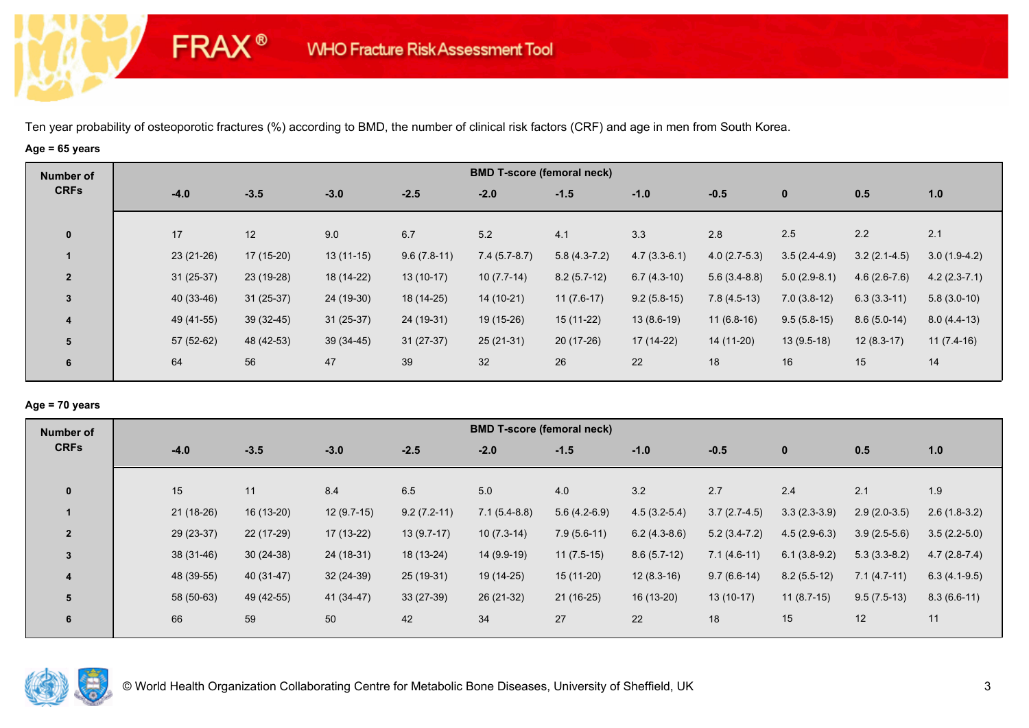# **Age = 65 years**

**FRAX®** 

| Number of               |             |             |             |               |                | <b>BMD T-score (femoral neck)</b> |                |                |                |                |                |
|-------------------------|-------------|-------------|-------------|---------------|----------------|-----------------------------------|----------------|----------------|----------------|----------------|----------------|
| <b>CRFs</b>             | $-4.0$      | $-3.5$      | $-3.0$      | $-2.5$        | $-2.0$         | $-1.5$                            | $-1.0$         | $-0.5$         | $\mathbf{0}$   | 0.5            | 1.0            |
| $\mathbf{0}$            | 17          | 12          | 9.0         | 6.7           | 5.2            | 4.1                               | 3.3            | 2.8            | 2.5            | 2.2            | 2.1            |
|                         | $23(21-26)$ | $17(15-20)$ | $13(11-15)$ | $9.6(7.8-11)$ | $7.4(5.7-8.7)$ | $5.8(4.3-7.2)$                    | $4.7(3.3-6.1)$ | $4.0(2.7-5.3)$ | $3.5(2.4-4.9)$ | $3.2(2.1-4.5)$ | $3.0(1.9-4.2)$ |
| $\overline{2}$          | $31(25-37)$ | 23 (19-28)  | 18 (14-22)  | $13(10-17)$   | $10(7.7-14)$   | $8.2(5.7-12)$                     | $6.7(4.3-10)$  | $5.6(3.4-8.8)$ | $5.0(2.9-8.1)$ | $4.6(2.6-7.6)$ | $4.2(2.3-7.1)$ |
| 3                       | 40 (33-46)  | $31(25-37)$ | 24 (19-30)  | 18 (14-25)    | 14 (10-21)     | $11(7.6-17)$                      | $9.2(5.8-15)$  | $7.8(4.5-13)$  | $7.0(3.8-12)$  | $6.3(3.3-11)$  | $5.8(3.0-10)$  |
| $\overline{\mathbf{4}}$ | 49 (41-55)  | $39(32-45)$ | $31(25-37)$ | 24 (19-31)    | 19 (15-26)     | $15(11-22)$                       | $13(8.6-19)$   | $11(6.8-16)$   | $9.5(5.8-15)$  | $8.6(5.0-14)$  | $8.0(4.4-13)$  |
| 5                       | 57 (52-62)  | 48 (42-53)  | $39(34-45)$ | $31(27-37)$   | $25(21-31)$    | 20 (17-26)                        | 17 (14-22)     | 14 (11-20)     | $13(9.5-18)$   | $12(8.3-17)$   | $11(7.4-16)$   |
| 6                       | 64          | 56          | 47          | 39            | 32             | 26                                | 22             | 18             | 16             | 15             | 14             |

# **Age = 70 years**

| Number of      |             |             |              |               | <b>BMD T-score (femoral neck)</b> |                |                |                |                |                |                |
|----------------|-------------|-------------|--------------|---------------|-----------------------------------|----------------|----------------|----------------|----------------|----------------|----------------|
| <b>CRFs</b>    | $-4.0$      | $-3.5$      | $-3.0$       | $-2.5$        | $-2.0$                            | $-1.5$         | $-1.0$         | $-0.5$         | $\mathbf{0}$   | 0.5            | 1.0            |
|                |             |             |              |               |                                   |                |                |                |                |                |                |
| $\mathbf{0}$   | 15          | 11          | 8.4          | 6.5           | 5.0                               | 4.0            | 3.2            | 2.7            | 2.4            | 2.1            | 1.9            |
|                | $21(18-26)$ | $16(13-20)$ | $12(9.7-15)$ | $9.2(7.2-11)$ | $7.1(5.4-8.8)$                    | $5.6(4.2-6.9)$ | $4.5(3.2-5.4)$ | $3.7(2.7-4.5)$ | $3.3(2.3-3.9)$ | $2.9(2.0-3.5)$ | $2.6(1.8-3.2)$ |
| $\overline{2}$ | 29 (23-37)  | 22 (17-29)  | $17(13-22)$  | $13(9.7-17)$  | $10(7.3-14)$                      | $7.9(5.6-11)$  | $6.2(4.3-8.6)$ | $5.2(3.4-7.2)$ | $4.5(2.9-6.3)$ | $3.9(2.5-5.6)$ | $3.5(2.2-5.0)$ |
| 3              | $38(31-46)$ | $30(24-38)$ | 24 (18-31)   | 18 (13-24)    | 14 (9.9-19)                       | $11(7.5-15)$   | $8.6(5.7-12)$  | $7.1(4.6-11)$  | $6.1(3.8-9.2)$ | $5.3(3.3-8.2)$ | $4.7(2.8-7.4)$ |
| 4              | 48 (39-55)  | 40 (31-47)  | $32(24-39)$  | $25(19-31)$   | 19 (14-25)                        | $15(11-20)$    | $12(8.3-16)$   | $9.7(6.6-14)$  | $8.2(5.5-12)$  | $7.1(4.7-11)$  | $6.3(4.1-9.5)$ |
| 5              | 58 (50-63)  | 49 (42-55)  | 41 (34-47)   | $33(27-39)$   | 26 (21-32)                        | $21(16-25)$    | 16 (13-20)     | $13(10-17)$    | $11(8.7-15)$   | $9.5(7.5-13)$  | $8.3(6.6-11)$  |
| 6              | 66          | 59          | 50           | 42            | 34                                | 27             | 22             | 18             | 15             | 12             | 11             |
|                |             |             |              |               |                                   |                |                |                |                |                |                |

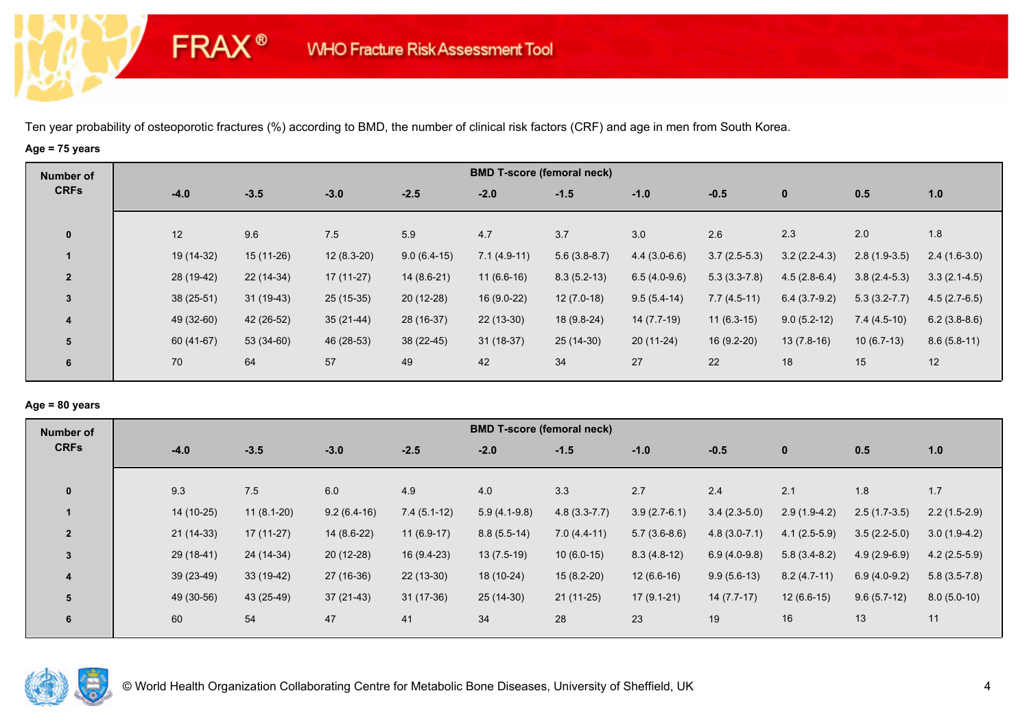# **Age = 75 years**

**FRAX®** 

| Number of      |             |             |              |               |               | <b>BMD T-score (femoral neck)</b> |                |                |                |                  |                |
|----------------|-------------|-------------|--------------|---------------|---------------|-----------------------------------|----------------|----------------|----------------|------------------|----------------|
| <b>CRFs</b>    | $-4.0$      | $-3.5$      | $-3.0$       | $-2.5$        | $-2.0$        | $-1.5$                            | $-1.0$         | $-0.5$         | $\mathbf 0$    | 0.5              | 1.0            |
| $\mathbf 0$    | 12          | 9.6         | 7.5          | 5.9           | 4.7           | 3.7                               | 3.0            | 2.6            | 2.3            | 2.0              | 1.8            |
|                | 19 (14-32)  | $15(11-26)$ | $12(8.3-20)$ | $9.0(6.4-15)$ | $7.1(4.9-11)$ | $5.6(3.8-8.7)$                    | $4.4(3.0-6.6)$ | $3.7(2.5-5.3)$ | $3.2(2.2-4.3)$ | $2.8(1.9-3.5)$   | $2.4(1.6-3.0)$ |
| $\overline{2}$ | 28 (19-42)  | 22 (14-34)  | 17 (11-27)   | $14(8.6-21)$  | $11(6.6-16)$  | $8.3(5.2-13)$                     | $6.5(4.0-9.6)$ | $5.3(3.3-7.8)$ | $4.5(2.8-6.4)$ | $3.8(2.4-5.3)$   | $3.3(2.1-4.5)$ |
| $\overline{3}$ | $38(25-51)$ | $31(19-43)$ | $25(15-35)$  | $20(12-28)$   | $16(9.0-22)$  | $12(7.0-18)$                      | $9.5(5.4-14)$  | $7.7(4.5-11)$  | $6.4(3.7-9.2)$ | $5.3(3.2 - 7.7)$ | $4.5(2.7-6.5)$ |
| 4              | 49 (32-60)  | 42 (26-52)  | $35(21-44)$  | 28 (16-37)    | $22(13-30)$   | $18(9.8-24)$                      | 14 (7.7-19)    | $11(6.3-15)$   | $9.0(5.2-12)$  | $7.4(4.5-10)$    | $6.2(3.8-8.6)$ |
| 5              | 60 (41-67)  | 53 (34-60)  | 46 (28-53)   | $38(22-45)$   | $31(18-37)$   | 25 (14-30)                        | $20(11-24)$    | $16(9.2-20)$   | $13(7.8-16)$   | $10(6.7-13)$     | $8.6(5.8-11)$  |
| 6              | 70          | 64          | 57           | 49            | 42            | 34                                | 27             | 22             | 18             | 15               | 12             |

### **Age = 80 years**

| <b>Number of</b> |             |              |               |               | <b>BMD T-score (femoral neck)</b> |                  |                |                |                |                |                |
|------------------|-------------|--------------|---------------|---------------|-----------------------------------|------------------|----------------|----------------|----------------|----------------|----------------|
| <b>CRFs</b>      | $-4.0$      | $-3.5$       | $-3.0$        | $-2.5$        | $-2.0$                            | $-1.5$           | $-1.0$         | $-0.5$         | $\mathbf{0}$   | 0.5            | 1.0            |
| $\mathbf{0}$     | 9.3         | 7.5          | 6.0           | 4.9           | 4.0                               | 3.3              | 2.7            | 2.4            | 2.1            | 1.8            | 1.7            |
|                  | 14 (10-25)  | $11(8.1-20)$ | $9.2(6.4-16)$ | $7.4(5.1-12)$ | $5.9(4.1-9.8)$                    | $4.8(3.3 - 7.7)$ | $3.9(2.7-6.1)$ | $3.4(2.3-5.0)$ | $2.9(1.9-4.2)$ | $2.5(1.7-3.5)$ | $2.2(1.5-2.9)$ |
| $\overline{2}$   | $21(14-33)$ | $17(11-27)$  | $14(8.6-22)$  | $11(6.9-17)$  | $8.8(5.5-14)$                     | $7.0(4.4-11)$    | $5.7(3.6-8.6)$ | $4.8(3.0-7.1)$ | $4.1(2.5-5.9)$ | $3.5(2.2-5.0)$ | $3.0(1.9-4.2)$ |
| 3                | $29(18-41)$ | 24 (14-34)   | $20(12-28)$   | 16 (9.4-23)   | $13(7.5-19)$                      | $10(6.0-15)$     | $8.3(4.8-12)$  | $6.9(4.0-9.8)$ | $5.8(3.4-8.2)$ | $4.9(2.9-6.9)$ | $4.2(2.5-5.9)$ |
| 4                | 39 (23-49)  | 33 (19-42)   | 27 (16-36)    | $22(13-30)$   | 18 (10-24)                        | $15(8.2-20)$     | $12(6.6-16)$   | $9.9(5.6-13)$  | $8.2(4.7-11)$  | $6.9(4.0-9.2)$ | $5.8(3.5-7.8)$ |
| 5                | 49 (30-56)  | 43 (25-49)   | $37(21-43)$   | $31(17-36)$   | 25 (14-30)                        | $21(11-25)$      | $17(9.1-21)$   | $14(7.7-17)$   | $12(6.6-15)$   | $9.6(5.7-12)$  | $8.0(5.0-10)$  |
| 6                | 60          | 54           | 47            | 41            | 34                                | 28               | 23             | 19             | 16             | 13             | 11             |